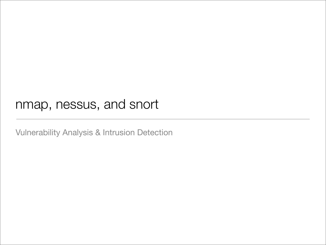## nmap, nessus, and snort

Vulnerability Analysis & Intrusion Detection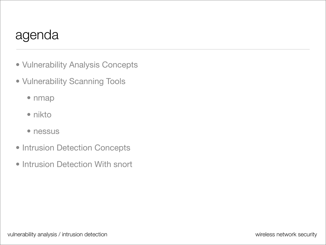## agenda

- Vulnerability Analysis Concepts
- Vulnerability Scanning Tools
	- nmap
	- nikto
	- nessus
- Intrusion Detection Concepts
- Intrusion Detection With snort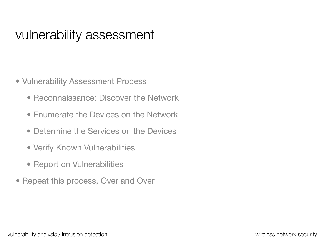- Vulnerability Assessment Process
	- Reconnaissance: Discover the Network
	- Enumerate the Devices on the Network
	- Determine the Services on the Devices
	- Verify Known Vulnerabilities
	- Report on Vulnerabilities
- Repeat this process, Over and Over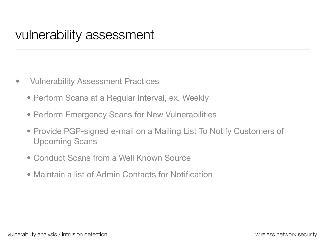- Vulnerability Assessment Practices
	- Perform Scans at a Regular Interval, ex. Weekly
	- Perform Emergency Scans for New Vulnerabilities
	- Provide PGP-signed e-mail on a Mailing List To Notify Customers of Upcoming Scans
	- Conduct Scans from a Well Known Source
	- Maintain a list of Admin Contacts for Notification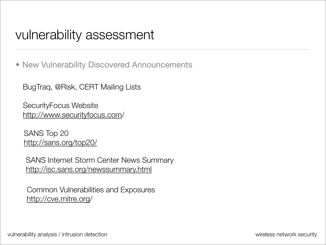• New Vulnerability Discovered Announcements

BugTraq, @Risk, CERT Mailing Lists

SecurityFocus Website [http://www.securityfocus.com/](http://www.securityfocus.com)

SANS Top 20 <http://sans.org/top20/>

SANS Internet Storm Center News Summary <http://isc.sans.org/newssummary.html>

Common Vulnerabilities and Exposures [http://cve.mitre.org/](http://cve.mitre.org)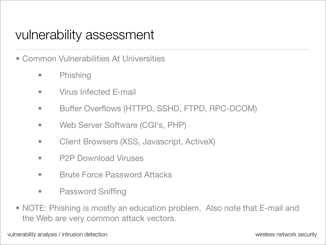- Common Vulnerabilities At Universities
	- Phishing
	- **Virus Infected E-mail**
	- Buffer Overflows (HTTPD, SSHD, FTPD, RPC-DCOM)
	- Web Server Software (CGI's, PHP)
	- Client Browsers (XSS, Javascript, ActiveX)
	- P2P Download Viruses
	- Brute Force Password Attacks
	- Password Sniffing
- NOTE: Phishing is mostly an education problem. Also note that E-mail and the Web are very common attack vectors.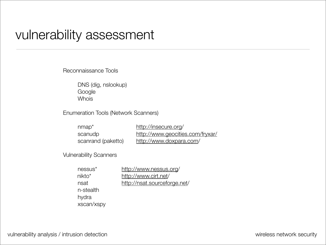Reconnaissance Tools

 DNS (dig, nslookup) Google Whois

Enumeration Tools (Network Scanners)

| $nmap*$            | http://insecure.org/             |
|--------------------|----------------------------------|
| scanudp            | http://www.geocities.com/fryxar/ |
| scanrand (paketto) | http://www.doxpara.com/          |

Vulnerability Scanners

| nessus <sup>*</sup> | http://www.nessus.org/       |
|---------------------|------------------------------|
| $nikto*$            | http://www.cirt.net/         |
| nsat                | http://nsat.sourceforge.net/ |
| n-stealth           |                              |
| hydra               |                              |
| xscan/xspy          |                              |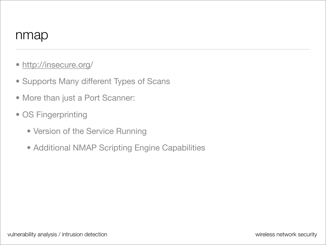- [http://insecure.org/](http://insecure.org)
- Supports Many different Types of Scans
- More than just a Port Scanner:
- OS Fingerprinting
	- Version of the Service Running
	- Additional NMAP Scripting Engine Capabilities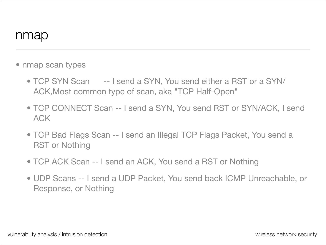- nmap scan types
	- TCP SYN Scan -- I send a SYN, You send either a RST or a SYN/ ACK,Most common type of scan, aka "TCP Half-Open"
	- TCP CONNECT Scan -- I send a SYN, You send RST or SYN/ACK, I send ACK
	- TCP Bad Flags Scan -- I send an Illegal TCP Flags Packet, You send a RST or Nothing
	- TCP ACK Scan -- I send an ACK, You send a RST or Nothing
	- UDP Scans -- I send a UDP Packet, You send back ICMP Unreachable, or Response, or Nothing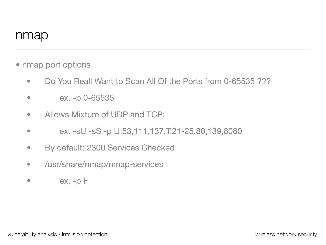- nmap port options
	- Do You Reall Want to Scan All Of the Ports from 0-65535 ???
	- ex. -p 0-65535
	- Allows Mixture of UDP and TCP:
	- $ex. -sU -sS -p U: 53, 111, 137, T: 21 25, 80, 139, 8080$
	- By default: 2300 Services Checked
	- /usr/share/nmap/nmap-services
	- $\bullet$  ex. -p  $\vdash$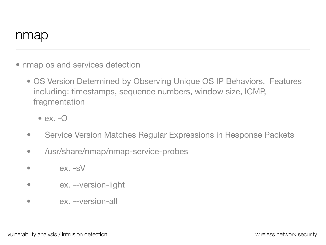- nmap os and services detection
	- OS Version Determined by Observing Unique OS IP Behaviors. Features including: timestamps, sequence numbers, window size, ICMP, fragmentation
		- $\bullet$  ex.  $\text{-}O$
	- Service Version Matches Regular Expressions in Response Packets
	- /usr/share/nmap/nmap-service-probes
	- $\bullet$   $\qquad$   $\qquad$   $\qquad$   $\qquad$   $\qquad$   $\qquad$   $\qquad$   $\qquad$   $\qquad$   $\qquad$   $\qquad$   $\qquad$   $\qquad$   $\qquad$   $\qquad$   $\qquad$   $\qquad$   $\qquad$   $\qquad$   $\qquad$   $\qquad$   $\qquad$   $\qquad$   $\qquad$   $\qquad$   $\qquad$   $\qquad$   $\qquad$   $\qquad$   $\qquad$   $\qquad$   $\qquad$   $\qquad$   $\qquad$   $\qquad$   $\qquad$
	- ex. --version-light
	- ex. --version-all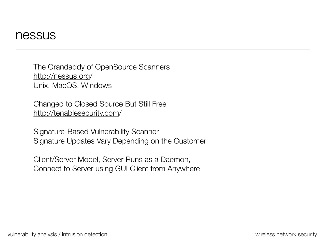The Grandaddy of OpenSource Scanners [http://nessus.org/](http://nessus.org) Unix, MacOS, Windows

Changed to Closed Source But Still Free <http://tenablesecurity.com>/

Signature-Based Vulnerability Scanner Signature Updates Vary Depending on the Customer

Client/Server Model, Server Runs as a Daemon, Connect to Server using GUI Client from Anywhere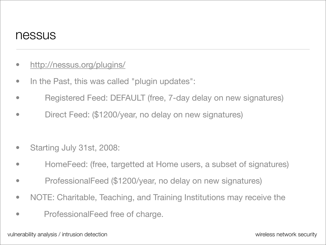- <http://nessus.org/plugins/>
- In the Past, this was called "plugin updates":
- Registered Feed: DEFAULT (free, 7-day delay on new signatures)
- Direct Feed: (\$1200/year, no delay on new signatures)
- Starting July 31st, 2008:
- HomeFeed: (free, targetted at Home users, a subset of signatures)
- ProfessionalFeed (\$1200/year, no delay on new signatures)
- NOTE: Charitable, Teaching, and Training Institutions may receive the
- ProfessionalFeed free of charge.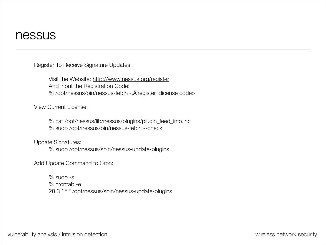Register To Receive Signature Updates:

 Visit the Website:<http://www.nessus.org/register> And Input the Registration Code: % /opt/nessus/bin/nessus-fetch -,Äiregister <license code>

View Current License:

 % cat /opt/nessus/lib/nessus/plugins/plugin\_feed\_info.inc % sudo /opt/nessus/bin/nessus-fetch --check

Update Signatures:

 % sudo /opt/nessus/sbin/nessus-update-plugins

Add Update Command to Cron:

 % sudo -s % crontab -e 28 3 \* \* \* /opt/nessus/sbin/nessus-update-plugins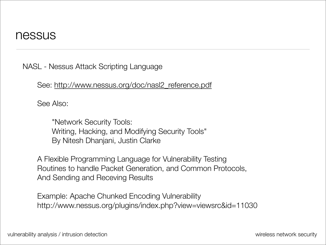NASL - Nessus Attack Scripting Language

See: [http://www.nessus.org/doc/nasl2\\_reference.pdf](http://www.nessus.org/doc/nasl2_reference.pdf)

See Also:

 "Network Security Tools: Writing, Hacking, and Modifying Security Tools" By Nitesh Dhanjani, Justin Clarke

A Flexible Programming Language for Vulnerability Testing Routines to handle Packet Generation, and Common Protocols, And Sending and Receving Results

Example: Apache Chunked Encoding Vulnerability http://www.nessus.org/plugins/index.php?view=viewsrc&id=11030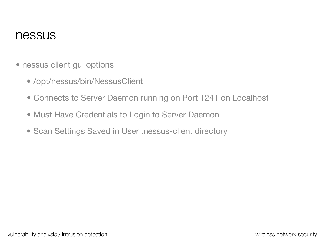- nessus client gui options
	- /opt/nessus/bin/NessusClient
	- Connects to Server Daemon running on Port 1241 on Localhost
	- Must Have Credentials to Login to Server Daemon
	- Scan Settings Saved in User .nessus-client directory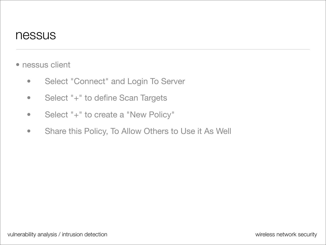- nessus client
	- Select "Connect" and Login To Server
	- Select "+" to define Scan Targets
	- Select "+" to create a "New Policy"
	- Share this Policy, To Allow Others to Use it As Well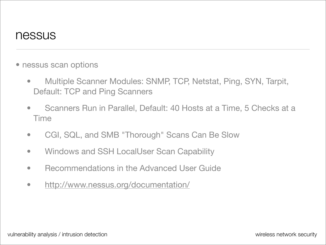- nessus scan options
	- Multiple Scanner Modules: SNMP, TCP, Netstat, Ping, SYN, Tarpit, Default: TCP and Ping Scanners
	- Scanners Run in Parallel, Default: 40 Hosts at a Time, 5 Checks at a Time
	- CGI, SQL, and SMB "Thorough" Scans Can Be Slow
	- Windows and SSH LocalUser Scan Capability
	- Recommendations in the Advanced User Guide
	- <http://www.nessus.org/documentation/>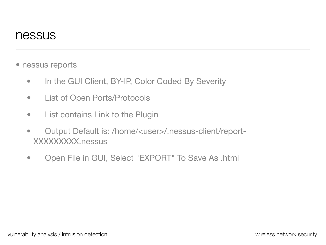- nessus reports
	- In the GUI Client, BY-IP, Color Coded By Severity
	- List of Open Ports/Protocols
	- List contains Link to the Plugin
	- Output Default is: /home/<user>/.nessus-client/report-XXXXXXXXX.nessus
	- Open File in GUI, Select "EXPORT" To Save As .html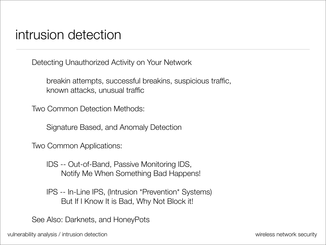Detecting Unauthorized Activity on Your Network

 breakin attempts, successful breakins, suspicious traffic, known attacks, unusual traffic

Two Common Detection Methods:

 Signature Based, and Anomaly Detection

Two Common Applications:

 IDS -- Out-of-Band, Passive Monitoring IDS, Notify Me When Something Bad Happens!

 IPS -- In-Line IPS, (Intrusion \*Prevention\* Systems) But If I Know It is Bad, Why Not Block it!

See Also: Darknets, and HoneyPots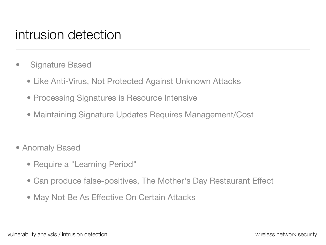- Signature Based
	- Like Anti-Virus, Not Protected Against Unknown Attacks
	- Processing Signatures is Resource Intensive
	- Maintaining Signature Updates Requires Management/Cost
- Anomaly Based
	- Require a "Learning Period"
	- Can produce false-positives, The Mother's Day Restaurant Effect
	- May Not Be As Effective On Certain Attacks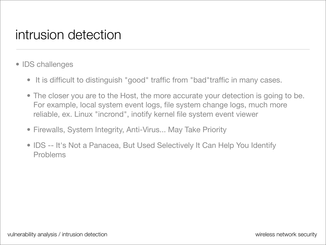- IDS challenges
	- It is difficult to distinguish "good" traffic from "bad"traffic in many cases.
	- The closer you are to the Host, the more accurate your detection is going to be. For example, local system event logs, file system change logs, much more reliable, ex. Linux "incrond", inotify kernel file system event viewer
	- Firewalls, System Integrity, Anti-Virus... May Take Priority
	- IDS -- It's Not a Panacea, But Used Selectively It Can Help You Identify Problems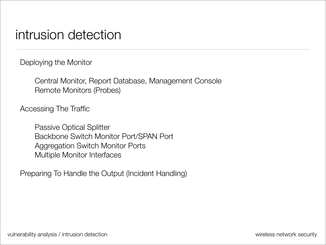Deploying the Monitor

 Central Monitor, Report Database, Management Console Remote Monitors (Probes)

Accessing The Traffic

 Passive Optical Splitter Backbone Switch Monitor Port/SPAN Port Aggregation Switch Monitor Ports Multiple Monitor Interfaces

Preparing To Handle the Output (Incident Handling)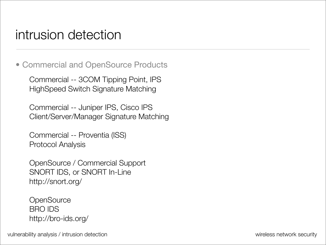• Commercial and OpenSource Products

Commercial -- 3COM Tipping Point, IPS HighSpeed Switch Signature Matching

Commercial -- Juniper IPS, Cisco IPS Client/Server/Manager Signature Matching

Commercial -- Proventia (ISS) Protocol Analysis

OpenSource / Commercial Support SNORT IDS, or SNORT In-Line <http://snort.org>/

**OpenSource** BRO IDS http://bro-ids.org/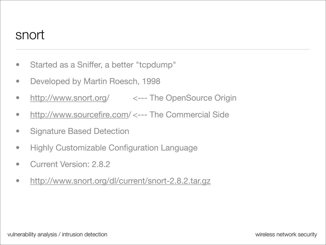- Started as a Sniffer, a better "tcpdump"
- Developed by Martin Roesch, 1998
- [http://www.snort.org/](http://www.snort.org) <--- The OpenSource Origin
- [http://www.sourcefire.com/](http://www.sourcefire.com) <--- The Commercial Side
- Signature Based Detection
- Highly Customizable Configuration Language
- Current Version: 2.8.2
- <http://www.snort.org/dl/current/snort-2.8.2.tar.gz>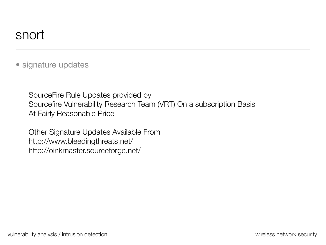• signature updates

SourceFire Rule Updates provided by Sourcefire Vulnerability Research Team (VRT) On a subscription Basis At Fairly Reasonable Price

Other Signature Updates Available From [http://www.bleedingthreats.net/](http://www.bleedingthreats.net) http://oinkmaster.sourceforge.net/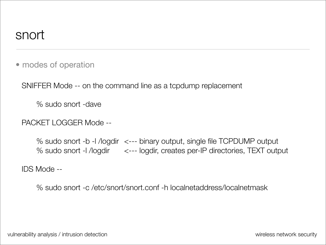• modes of operation

SNIFFER Mode -- on the command line as a tcpdump replacement

 % sudo snort -dave

PACKET LOGGER Mode --

 % sudo snort -b -l /logdir <--- binary output, single file TCPDUMP output % sudo snort -l /logdir <--- logdir, creates per-IP directories, TEXT output

IDS Mode --

 % sudo snort -c /etc/snort/snort.conf -h localnetaddress/localnetmask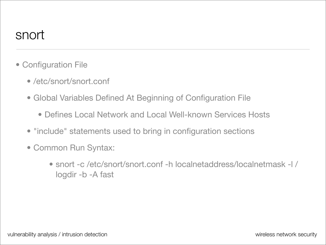- Configuration File
	- /etc/snort/snort.conf
	- Global Variables Defined At Beginning of Configuration File
		- Defines Local Network and Local Well-known Services Hosts
	- "include" statements used to bring in configuration sections
	- Common Run Syntax:
		- snort -c /etc/snort/snort.conf -h localnetaddress/localnetmask -l / logdir -b -A fast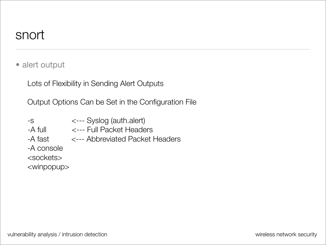• alert output

Lots of Flexibility in Sending Alert Outputs

Output Options Can be Set in the Configuration File

- -s <--- Syslog (auth.alert)
- -A full <--- Full Packet Headers
- -A fast <--- Abbreviated Packet Headers
- -A console

<sockets>

<winpopup>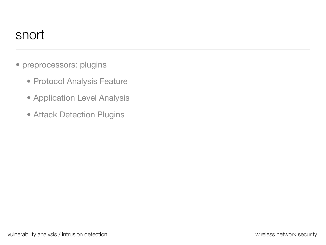- preprocessors: plugins
	- Protocol Analysis Feature
	- Application Level Analysis
	- Attack Detection Plugins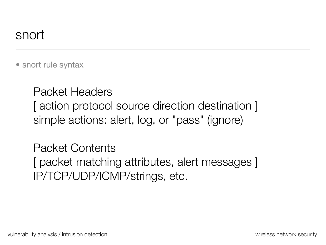• snort rule syntax

Packet Headers [ action protocol source direction destination ] simple actions: alert, log, or "pass" (ignore)

Packet Contents [ packet matching attributes, alert messages ] IP/TCP/UDP/ICMP/strings, etc.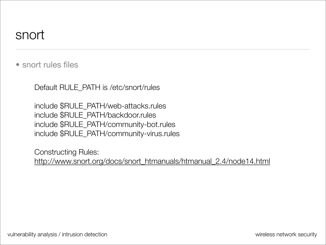• snort rules files

Default RULE\_PATH is /etc/snort/rules

include \$RULE\_PATH/web-attacks.rules include \$RULE\_PATH/backdoor.rules include \$RULE\_PATH/community-bot.rules include \$RULE\_PATH/community-virus.rules

Constructing Rules: [http://www.snort.org/docs/snort\\_htmanuals/htmanual\\_2.4/node14.html](http://www.snort.org/docs/snort_htmanuals/htmanual_2.4/node14.html)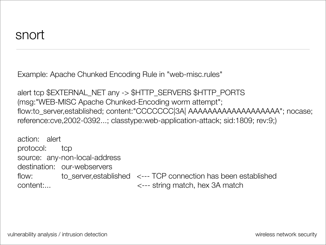Example: Apache Chunked Encoding Rule in "web-misc.rules"

alert tcp \$EXTERNAL\_NET any -> \$HTTP\_SERVERS \$HTTP\_PORTS (msg:"WEB-MISC Apache Chunked-Encoding worm attempt"; flow:to\_server,established; content:"CCCCCCC|3A| AAAAAAAAAAAAAAAAAAA"; nocase; reference:cve,2002-0392...; classtype:web-application-attack; sid:1809; rev:9;)

action: alert protocol: tcp source: any-non-local-address destination: our-webservers flow: to\_server, established <--- TCP connection has been established content:... <--- string match, hex 3A match